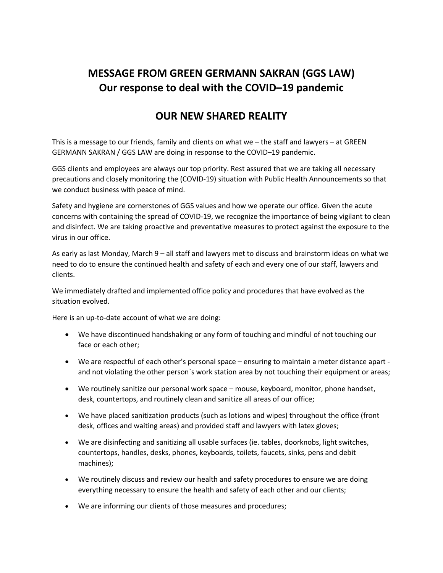## **MESSAGE FROM GREEN GERMANN SAKRAN (GGS LAW) Our response to deal with the COVID–19 pandemic**

## **OUR NEW SHARED REALITY**

This is a message to our friends, family and clients on what we – the staff and lawyers – at GREEN GERMANN SAKRAN / GGS LAW are doing in response to the COVID–19 pandemic.

GGS clients and employees are always our top priority. Rest assured that we are taking all necessary precautions and closely monitoring the (COVID-19) situation with Public Health Announcements so that we conduct business with peace of mind.

Safety and hygiene are cornerstones of GGS values and how we operate our office. Given the acute concerns with containing the spread of COVID-19, we recognize the importance of being vigilant to clean and disinfect. We are taking proactive and preventative measures to protect against the exposure to the virus in our office.

As early as last Monday, March 9 – all staff and lawyers met to discuss and brainstorm ideas on what we need to do to ensure the continued health and safety of each and every one of our staff, lawyers and clients.

We immediately drafted and implemented office policy and procedures that have evolved as the situation evolved.

Here is an up-to-date account of what we are doing:

- We have discontinued handshaking or any form of touching and mindful of not touching our face or each other;
- We are respectful of each other's personal space ensuring to maintain a meter distance apart and not violating the other person`s work station area by not touching their equipment or areas;
- We routinely sanitize our personal work space mouse, keyboard, monitor, phone handset, desk, countertops, and routinely clean and sanitize all areas of our office;
- We have placed sanitization products (such as lotions and wipes) throughout the office (front desk, offices and waiting areas) and provided staff and lawyers with latex gloves;
- We are disinfecting and sanitizing all usable surfaces (ie. tables, doorknobs, light switches, countertops, handles, desks, phones, keyboards, toilets, faucets, sinks, pens and debit machines);
- We routinely discuss and review our health and safety procedures to ensure we are doing everything necessary to ensure the health and safety of each other and our clients;
- We are informing our clients of those measures and procedures;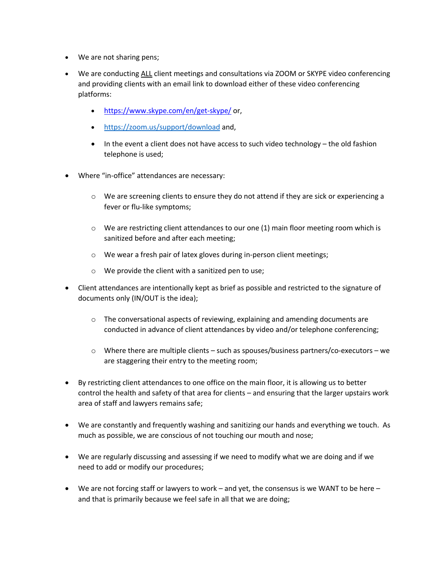- We are not sharing pens;
- We are conducting ALL client meetings and consultations via ZOOM or SKYPE video conferencing and providing clients with an email link to download either of these video conferencing platforms:
	- https://www.skype.com/en/get-skype/ or,
	- https://zoom.us/support/download and,
	- $\bullet$  In the event a client does not have access to such video technology the old fashion telephone is used;
- Where "in-office" attendances are necessary:
	- $\circ$  We are screening clients to ensure they do not attend if they are sick or experiencing a fever or flu-like symptoms;
	- $\circ$  We are restricting client attendances to our one (1) main floor meeting room which is sanitized before and after each meeting;
	- o We wear a fresh pair of latex gloves during in-person client meetings;
	- o We provide the client with a sanitized pen to use;
- Client attendances are intentionally kept as brief as possible and restricted to the signature of documents only (IN/OUT is the idea);
	- $\circ$  The conversational aspects of reviewing, explaining and amending documents are conducted in advance of client attendances by video and/or telephone conferencing;
	- $\circ$  Where there are multiple clients such as spouses/business partners/co-executors we are staggering their entry to the meeting room;
- By restricting client attendances to one office on the main floor, it is allowing us to better control the health and safety of that area for clients – and ensuring that the larger upstairs work area of staff and lawyers remains safe;
- We are constantly and frequently washing and sanitizing our hands and everything we touch. As much as possible, we are conscious of not touching our mouth and nose;
- We are regularly discussing and assessing if we need to modify what we are doing and if we need to add or modify our procedures;
- We are not forcing staff or lawyers to work and yet, the consensus is we WANT to be here and that is primarily because we feel safe in all that we are doing;